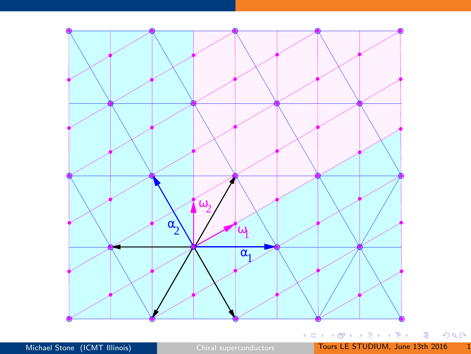<span id="page-0-0"></span>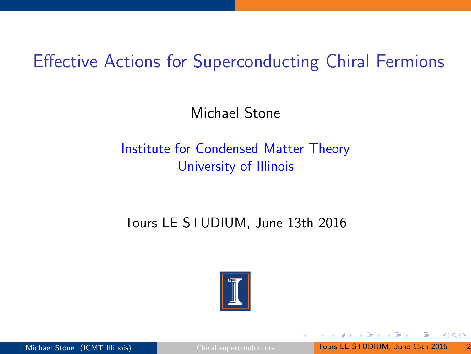# Effective Actions for Superconducting Chiral Fermions

Michael Stone

#### Institute for Condensed Matter Theory University of Illinois

#### Tours LE STUDIUM, June 13th 2016

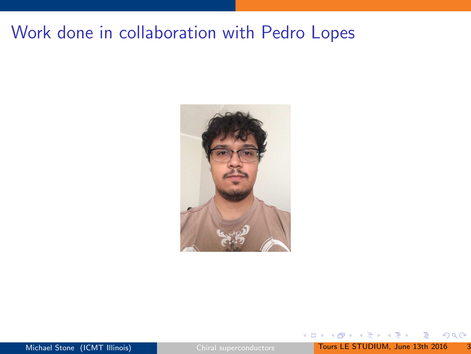# Work done in collaboration with Pedro Lopes



ミメスミメ

 $\leftarrow$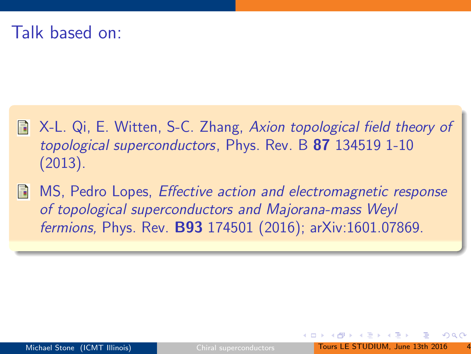#### Talk based on:

- X-L. Qi, E. Witten, S-C. Zhang, Axion topological field theory of topological superconductors, Phys. Rev. B 87 134519 1-10 (2013).
- MS, Pedro Lopes, Effective action and electromagnetic response F of topological superconductors and Majorana-mass Weyl fermions, Phys. Rev. B93 174501 (2016); arXiv:1601.07869.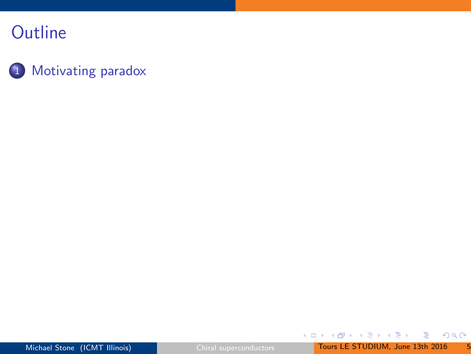#### 1 [Motivating paradox](#page-5-0)

 $QQ$ 

B

イロト イ部 トイをトイをトー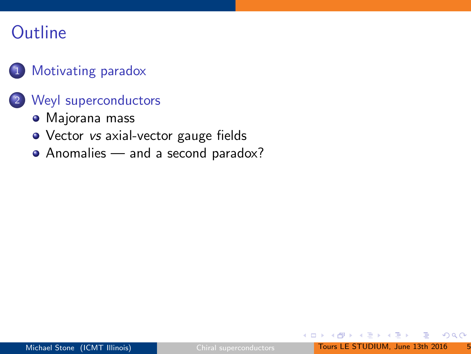#### [Motivating paradox](#page-5-0)

#### 2 [Weyl superconductors](#page-20-0)

- [Majorana mass](#page-21-0)
- Vector vs [axial-vector gauge fields](#page-25-0)
- [Anomalies and a second paradox?](#page-27-0)

 $\triangleright$   $\rightarrow$   $\exists$   $\rightarrow$ 

<span id="page-5-0"></span> $QQQ$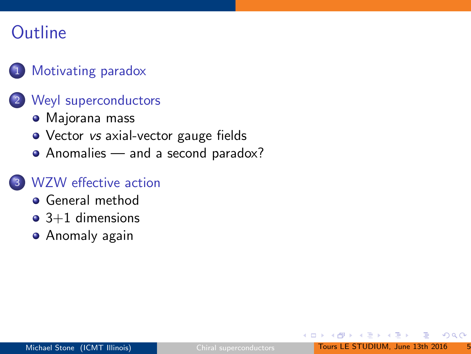#### [Motivating paradox](#page-5-0)

#### 2 [Weyl superconductors](#page-20-0)

- [Majorana mass](#page-21-0)
- Vector *vs* [axial-vector gauge fields](#page-25-0)
- [Anomalies and a second paradox?](#page-27-0)

#### [WZW effective action](#page-30-0)

- **•** [General method](#page-32-0)
- $\bullet$  [3+1 dimensions](#page-34-0)
- **•** [Anomaly again](#page-37-0)

医三角体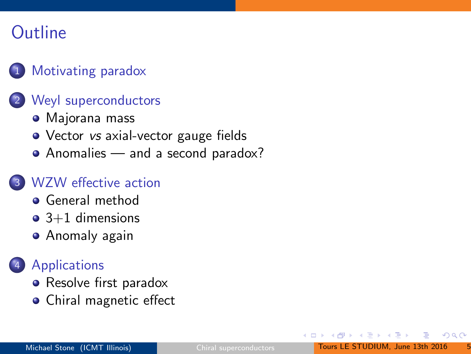#### [Motivating paradox](#page-5-0)

#### [Weyl superconductors](#page-20-0)

- [Majorana mass](#page-21-0)
- Vector vs [axial-vector gauge fields](#page-25-0)
- [Anomalies and a second paradox?](#page-27-0)

#### [WZW effective action](#page-30-0)

- **•** [General method](#page-32-0)
- $\bullet$  [3+1 dimensions](#page-34-0)
- **•** [Anomaly again](#page-37-0)

#### **[Applications](#page-40-0)**

- [Resolve first paradox](#page-41-0)
- [Chiral magnetic effect](#page-46-0)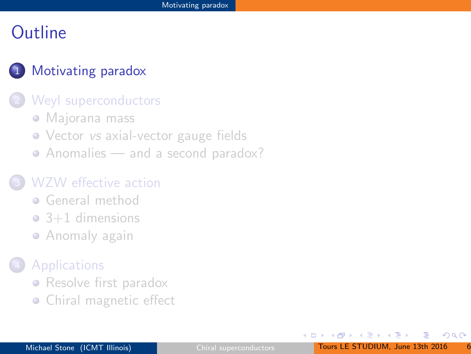#### [Motivating paradox](#page-5-0)

#### [Weyl superconductors](#page-20-0)

- [Majorana mass](#page-21-0)
- Vector *vs* [axial-vector gauge fields](#page-25-0)
- [Anomalies and a second paradox?](#page-27-0)

#### [WZW effective action](#page-30-0)

- **[General method](#page-32-0)**
- $\bullet$  [3+1 dimensions](#page-34-0)
- **[Anomaly again](#page-37-0)**

#### **[Applications](#page-40-0)**

- [Resolve first paradox](#page-41-0)
- [Chiral magnetic effect](#page-46-0)

œ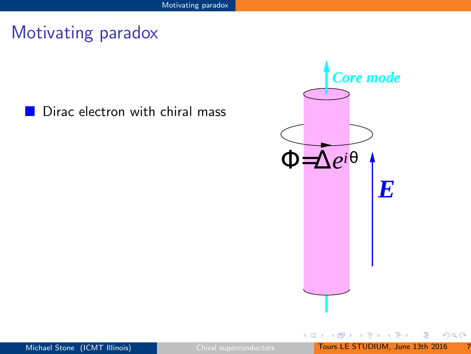#### Dirac electron with chiral mass



 $\leftarrow$ 

 $299$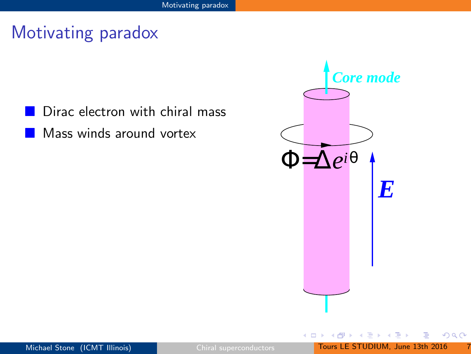- Dirac electron with chiral mass
	- Mass winds around vortex



 $\leftarrow$ 

 $\rightarrow$   $\equiv$   $\rightarrow$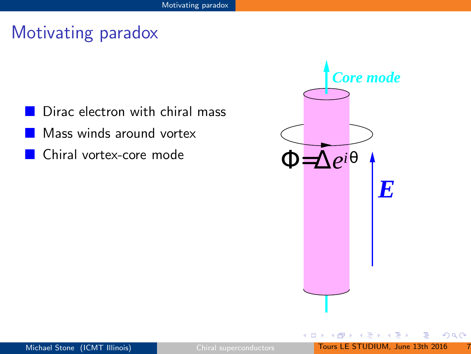- Dirac electron with chiral mass
- Mass winds around vortex
- Chiral vortex-core mode



 $\Rightarrow$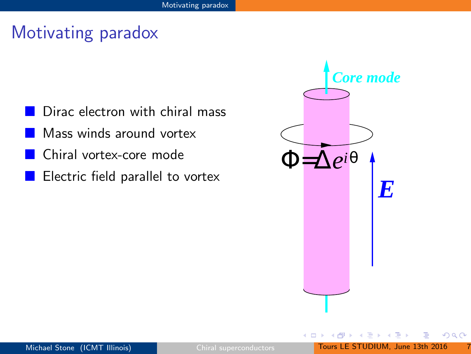- Dirac electron with chiral mass
- Mass winds around vortex
- Chiral vortex-core mode
- Electric field parallel to vortex

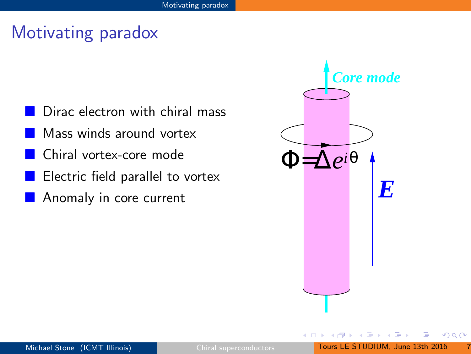- Dirac electron with chiral mass
- Mass winds around vortex
- Chiral vortex-core mode
- Electric field parallel to vortex
- **Anomaly in core current**

| <b>Core mode</b>      |  |  |                  |  |
|-----------------------|--|--|------------------|--|
| $=\Delta e^{i\theta}$ |  |  |                  |  |
|                       |  |  | $\boldsymbol{F}$ |  |
|                       |  |  |                  |  |
|                       |  |  |                  |  |

 $\leftarrow$ 

 $\rightarrow \equiv$   $\rightarrow$ 

 $QQQ$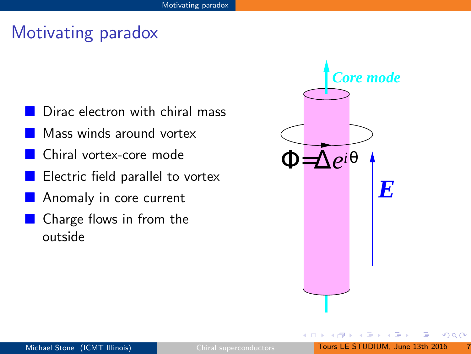- Dirac electron with chiral mass
- Mass winds around vortex
- Chiral vortex-core mode
- Electric field parallel to vortex
- Anomaly in core current
- Charge flows in from the outside

| <b>Core mode</b>          |  |  |                  |
|---------------------------|--|--|------------------|
|                           |  |  |                  |
| $=\!\!\Delta e^{i\theta}$ |  |  |                  |
|                           |  |  | $\boldsymbol{F}$ |
|                           |  |  |                  |
|                           |  |  |                  |
|                           |  |  |                  |

 $\rightarrow$   $\equiv$   $\rightarrow$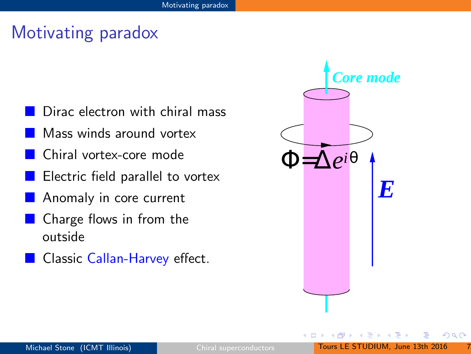- Dirac electron with chiral mass
- Mass winds around vortex
- Chiral vortex-core mode
- Electric field parallel to vortex
- Anomaly in core current
- Charge flows in from the outside
- Classic Callan-Harvey effect.

| <b>Core mode</b>             |  |  |                  |
|------------------------------|--|--|------------------|
|                              |  |  |                  |
| $\bigtriangleup e^{i\theta}$ |  |  |                  |
|                              |  |  | $\boldsymbol{F}$ |
|                              |  |  |                  |
|                              |  |  |                  |
|                              |  |  |                  |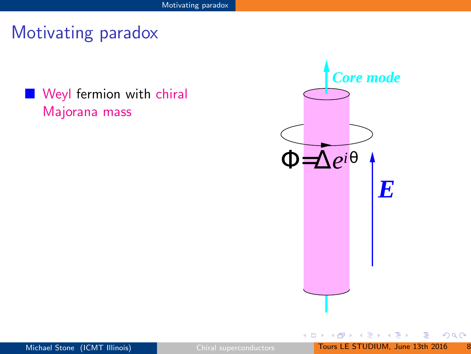**Weyl fermion with chiral** Majorana mass



 $\leftarrow$ 

 $299$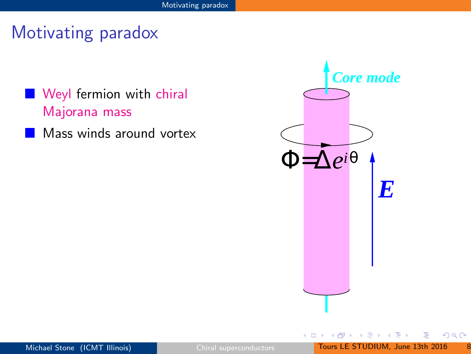- **Weyl fermion with chiral** Majorana mass
	- Mass winds around vortex



 $\leftarrow$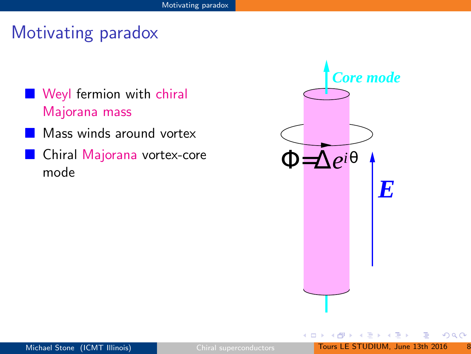- **Weyl fermion with chiral** Majorana mass
- Mass winds around vortex
- Chiral Majorana vortex-core mode



 $\rightarrow$   $\equiv$   $\rightarrow$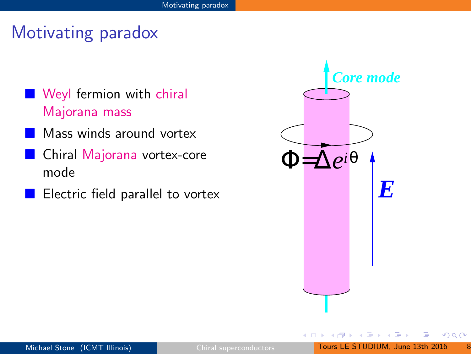- **Weyl fermion with chiral** Majorana mass
- Mass winds around vortex
- Chiral Majorana vortex-core mode
- Electric field parallel to vortex

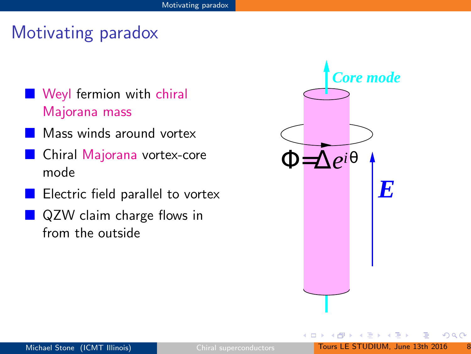- **Weyl fermion with chiral** Majorana mass
- Mass winds around vortex
- Chiral Majorana vortex-core mode
- Electric field parallel to vortex
- QZW claim charge flows in from the outside

<span id="page-20-0"></span>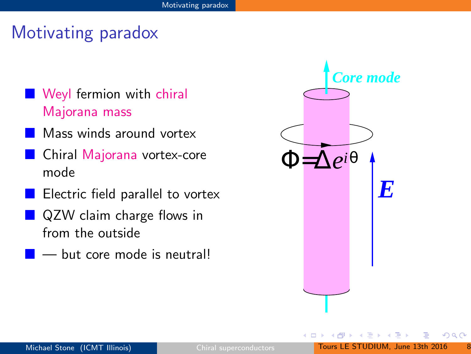- **Weyl fermion with chiral** Majorana mass
- Mass winds around vortex
- Chiral Majorana vortex-core mode
- Electric field parallel to vortex
- **QZW** claim charge flows in from the outside
- but core mode is neutral!

<span id="page-21-0"></span>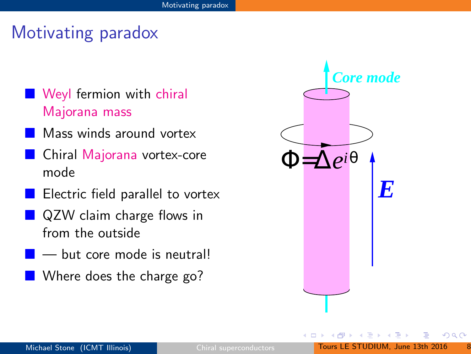- **Weyl fermion with chiral** Majorana mass
- Mass winds around vortex
- Chiral Majorana vortex-core mode
- Electric field parallel to vortex
- **QZW** claim charge flows in from the outside
- but core mode is neutral!
- **Where does the charge go?**

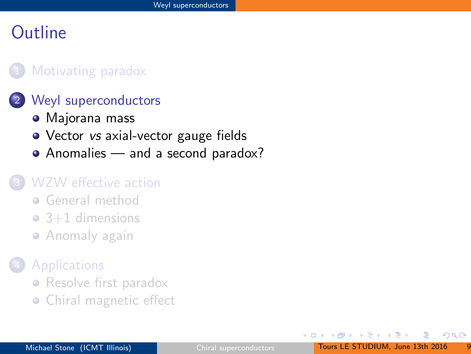#### [Motivating paradox](#page-5-0)

#### [Weyl superconductors](#page-20-0)

- [Majorana mass](#page-21-0)
- Vector *vs* [axial-vector gauge fields](#page-25-0)
- [Anomalies and a second paradox?](#page-27-0)

#### [WZW effective action](#page-30-0)

- **[General method](#page-32-0)**
- $\bullet$  [3+1 dimensions](#page-34-0)
- **[Anomaly again](#page-37-0)**

#### **[Applications](#page-40-0)**

- [Resolve first paradox](#page-41-0)
- [Chiral magnetic effect](#page-46-0)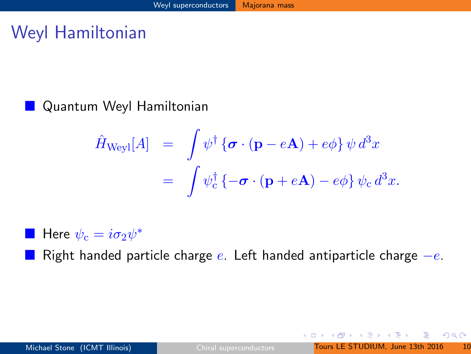# Weyl Hamiltonian

#### Quantum Weyl Hamiltonian

$$
\hat{H}_{\text{Weyl}}[A] = \int \psi^{\dagger} \{ \boldsymbol{\sigma} \cdot (\mathbf{p} - e\mathbf{A}) + e\phi \} \psi d^{3}x
$$

$$
= \int \psi^{\dagger}_{\text{c}} \{ -\boldsymbol{\sigma} \cdot (\mathbf{p} + e\mathbf{A}) - e\phi \} \psi_{\text{c}} d^{3}x.
$$

**Here**  $\psi_c = i\sigma_2\psi^*$ 

Right handed particle charge  $e$ . Left handed antiparticle charge  $-e$ .

 $2Q$ 

**K ロ ト K 伺 ト K ヨ ト K ヨ ト**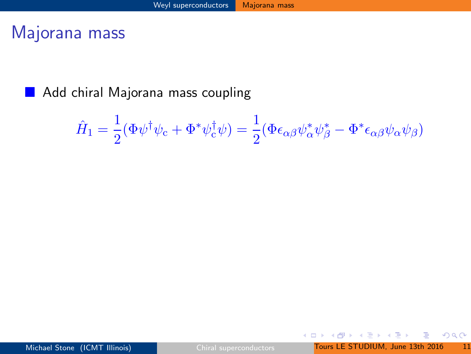#### Majorana mass

Add chiral Majorana mass coupling

$$
\hat{H}_1 = \frac{1}{2} (\Phi \psi^{\dagger} \psi_c + \Phi^* \psi_c^{\dagger} \psi) = \frac{1}{2} (\Phi \epsilon_{\alpha \beta} \psi_{\alpha}^* \psi_{\beta}^* - \Phi^* \epsilon_{\alpha \beta} \psi_{\alpha} \psi_{\beta})
$$

<span id="page-25-0"></span> $2Q$ 

э

イロメ イ部メ イミメ イヨメー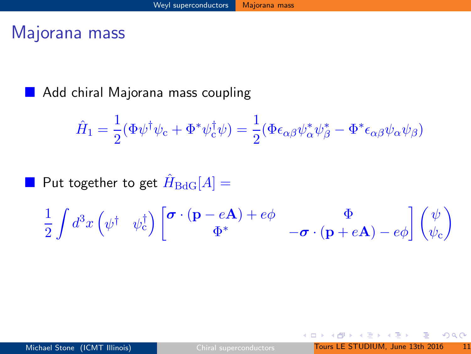#### Majorana mass

Add chiral Majorana mass coupling

$$
\hat{H}_1 = \frac{1}{2} (\Phi \psi^{\dagger} \psi_c + \Phi^* \psi_c^{\dagger} \psi) = \frac{1}{2} (\Phi \epsilon_{\alpha \beta} \psi_{\alpha}^* \psi_{\beta}^* - \Phi^* \epsilon_{\alpha \beta} \psi_{\alpha} \psi_{\beta})
$$

 $\blacksquare$  Put together to get  $\hat{H}_{\text{BdG}}[A] =$ 

$$
\frac{1}{2}\int d^3x \left(\psi^\dagger\hspace{0.1cm} \psi^\dagger_{\rm c}\right)\left[ \begin{matrix} \boldsymbol{\sigma}\cdot(\mathbf{p}-e\mathbf{A})+e\phi & \Phi \\ \Phi^* & -\boldsymbol{\sigma}\cdot(\mathbf{p}+e\mathbf{A})-e\phi \end{matrix}\right]\left(\begin{matrix} \psi\\ \psi_{\rm c} \end{matrix}\right)
$$

4.0.3

 $298$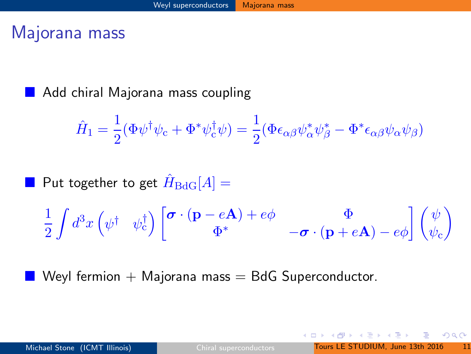#### Majorana mass

Add chiral Majorana mass coupling

$$
\hat{H}_1 = \frac{1}{2} (\Phi \psi^{\dagger} \psi_c + \Phi^* \psi_c^{\dagger} \psi) = \frac{1}{2} (\Phi \epsilon_{\alpha \beta} \psi_{\alpha}^* \psi_{\beta}^* - \Phi^* \epsilon_{\alpha \beta} \psi_{\alpha} \psi_{\beta})
$$

 $\blacksquare$  Put together to get  $\hat{H}_{\text{BdG}}[A] =$ 

$$
\frac{1}{2}\int d^3x \left(\psi^\dagger\hspace{0.1cm} \psi^\dagger_{\rm c}\right)\left[ \begin{matrix} \boldsymbol{\sigma}\cdot(\mathbf{p}-e\mathbf{A})+e\phi\\ \Phi^* \end{matrix}\right.\left.\begin{matrix}\Phi\\ -\boldsymbol{\sigma}\cdot(\mathbf{p}+e\mathbf{A})-e\phi\end{matrix}\right] \left(\begin{matrix}\psi\\ \psi_{\rm c}\end{matrix}\right)
$$

Weyl fermion  $+$  Majorana mass  $=$  BdG Superconductor.

<span id="page-27-0"></span> $QQQ$ 

4.0.3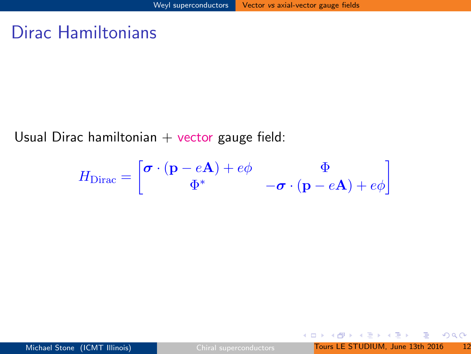#### Dirac Hamiltonians

Usual Dirac hamiltonian  $+$  vector gauge field:

$$
H_{\text{Dirac}} = \begin{bmatrix} \boldsymbol{\sigma} \cdot (\mathbf{p} - e\mathbf{A}) + e\phi & \Phi \\ \Phi^* & -\boldsymbol{\sigma} \cdot (\mathbf{p} - e\mathbf{A}) + e\phi \end{bmatrix}
$$

 $2Q$ 

э

イロメ イ部メ イミメ イヨメー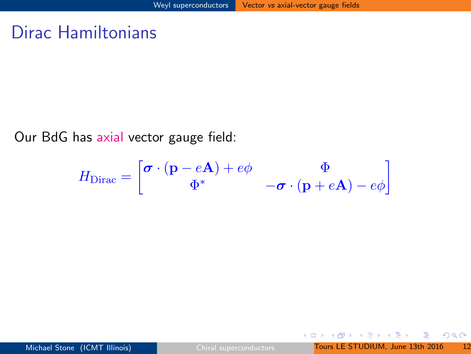#### Dirac Hamiltonians

Our BdG has axial vector gauge field:

$$
H_{\text{Dirac}} = \begin{bmatrix} \boldsymbol{\sigma} \cdot (\mathbf{p} - e\mathbf{A}) + e\phi & \Phi \\ \Phi^* & -\boldsymbol{\sigma} \cdot (\mathbf{p} + e\mathbf{A}) - e\phi \end{bmatrix}
$$

<span id="page-29-0"></span> $2Q$ 

э

→ 伊 ト イ ヨ ト イ ヨ ト

 $\leftarrow$   $\Box$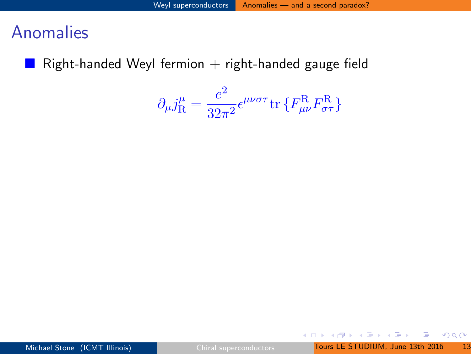#### **Anomalies**

Right-handed Weyl fermion  $+$  right-handed gauge field

$$
\partial_{\mu}j_{\mathrm{R}}^{\mu} = \frac{e^2}{32\pi^2} \epsilon^{\mu\nu\sigma\tau} \text{tr}\left\{F_{\mu\nu}^{\mathrm{R}} F_{\sigma\tau}^{\mathrm{R}}\right\}
$$

<span id="page-30-0"></span> $2Q$ 

œ.

イロト イ部 トイ活 トイ活 トー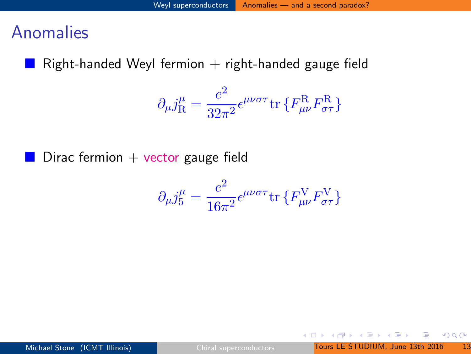#### Anomalies

Right-handed Weyl fermion  $+$  right-handed gauge field

$$
\partial_{\mu}j_{\mathrm{R}}^{\mu} = \frac{e^2}{32\pi^2} \epsilon^{\mu\nu\sigma\tau} \text{tr}\left\{F_{\mu\nu}^{\mathrm{R}} F_{\sigma\tau}^{\mathrm{R}}\right\}
$$

Dirac fermion  $+$  vector gauge field

$$
\partial_{\mu}j_{5}^{\mu} = \frac{e^{2}}{16\pi^{2}} \epsilon^{\mu\nu\sigma\tau} \text{tr}\left\{F_{\mu\nu}^{\text{V}} F_{\sigma\tau}^{\text{V}}\right\}
$$

 $2Q$ 

э

メタトメ ミトメ ミト

4 0 8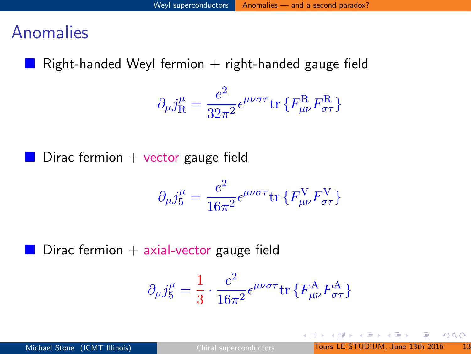#### Anomalies

Right-handed Weyl fermion  $+$  right-handed gauge field

$$
\partial_{\mu}j_{\mathrm{R}}^{\mu} = \frac{e^2}{32\pi^2} \epsilon^{\mu\nu\sigma\tau} \text{tr}\left\{F_{\mu\nu}^{\mathrm{R}} F_{\sigma\tau}^{\mathrm{R}}\right\}
$$

Dirac fermion  $+$  vector gauge field

$$
\partial_{\mu}j_{5}^{\mu} = \frac{e^{2}}{16\pi^{2}} \epsilon^{\mu\nu\sigma\tau} \text{tr}\left\{F_{\mu\nu}^{\text{V}} F_{\sigma\tau}^{\text{V}}\right\}
$$

Dirac fermion  $+$  axial-vector gauge field

$$
\partial_{\mu}j^{\mu}_{5}=\frac{1}{3}\cdot\frac{e^{2}}{16\pi^{2}}\epsilon^{\mu\nu\sigma\tau}\mathrm{tr}\left\{F_{\mu\nu}^{\mathrm{A}}F_{\sigma\tau}^{\mathrm{A}}\right\}
$$

<span id="page-32-0"></span> $QQ$ 

**K ロ ト K 伺 ト K ヨ ト K ヨ ト**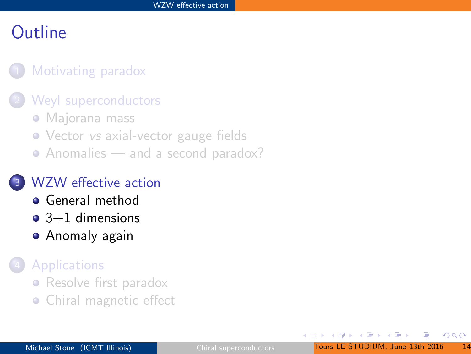#### [Motivating paradox](#page-5-0)

#### [Weyl superconductors](#page-20-0)

- [Majorana mass](#page-21-0)
- Vector vs [axial-vector gauge fields](#page-25-0)
- [Anomalies and a second paradox?](#page-27-0)

#### [WZW effective action](#page-30-0)

- **•** [General method](#page-32-0)
- $\bullet$  [3+1 dimensions](#page-34-0)
- **•** [Anomaly again](#page-37-0)

#### **[Applications](#page-40-0)**

- [Resolve first paradox](#page-41-0)
- <span id="page-33-0"></span>• [Chiral magnetic effect](#page-46-0)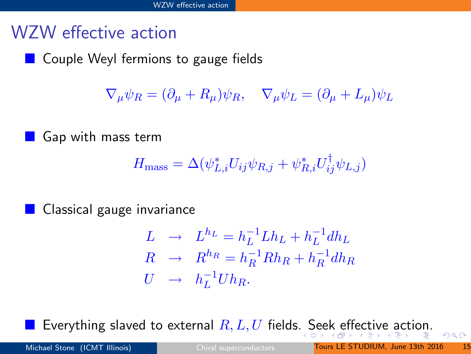## WZW effective action

Couple Weyl fermions to gauge fields

 $\nabla_{\mu}\psi_{R} = (\partial_{\mu} + R_{\mu})\psi_{R}, \quad \nabla_{\mu}\psi_{L} = (\partial_{\mu} + L_{\mu})\psi_{L}$ 

Gap with mass term

$$
H_{\text{mass}} = \Delta(\psi_{L,i}^* U_{ij} \psi_{R,j} + \psi_{R,i}^* U_{ij}^\dagger \psi_{L,j})
$$

Classical gauge invariance

$$
L \rightarrow L^{h_L} = h_L^{-1} L h_L + h_L^{-1} dh_L
$$
  
\n
$$
R \rightarrow R^{h_R} = h_R^{-1} R h_R + h_R^{-1} dh_R
$$
  
\n
$$
U \rightarrow h_L^{-1} U h_R.
$$

Everything slaved to [e](#page-34-0)xt[e](#page-29-0)rnal  $R, L, U$  fields[. S](#page-33-0)[ee](#page-35-0)[k](#page-33-0) e[ff](#page-35-0)e[ct](#page-34-0)[i](#page-36-0)[v](#page-37-0)e [a](#page-30-0)[c](#page-39-0)[t](#page-40-0)[io](#page-0-0)[n.](#page-49-0)

<span id="page-34-0"></span> $2990$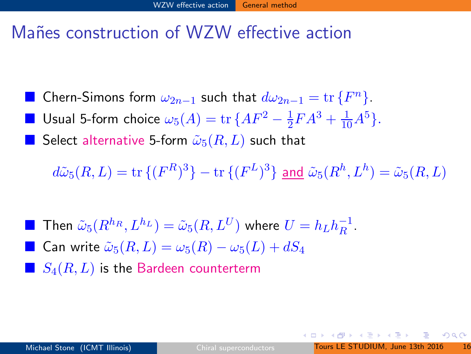#### Mañes construction of WZW effective action

- Chern-Simons form  $\omega_{2n-1}$  such that  $d\omega_{2n-1} = \text{tr} \{F^n\}.$
- Usual 5-form choice  $\omega_5(A) = \text{tr} \, \{AF^2 \frac{1}{2}$  $\frac{1}{2}FA^3 + \frac{1}{10}A^5$ .

Select alternative 5-form  $\tilde{\omega}_5(R,L)$  such that

 $d\tilde\omega_5(R,L)={\rm tr}\,\{(F^R)^3\}-{\rm tr}\,\{(F^L)^3\}$  and  $\tilde\omega_5(R^h,L^h)=\tilde\omega_5(R,L)$ 

 $\blacksquare$  Then  $\tilde{\omega}_{5}(R^{h_R},L^{h_L})=\tilde{\omega}_{5}(R,L^U)$  where  $U=h_L h_R^{-1}$  $\frac{-1}{R}$ . **■** Can write  $\tilde{\omega}_5(R, L) = \omega_5(R) - \omega_5(L) + dS_4$  $S_4(R,L)$  is the Bardeen counterterm

<span id="page-35-0"></span> $QQQ$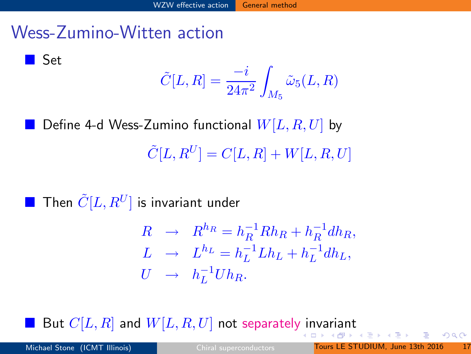### Wess-Zumino-Witten action

**Set** 

 $\tilde{C}[L,R] = \frac{-i}{24\pi^2}$ Z  $\scriptstyle M_5$  $\tilde\omega_5(L,R)$ 

Define 4-d Wess-Zumino functional  $W[L,R,U]$  by  $\tilde{C}[L,R^U]=C[L,R]+W[L,R,U]$ 

**Then**  $\tilde{C}[L,R^U]$  is invariant under

<span id="page-36-0"></span>
$$
R \rightarrow R^{h_R} = h_R^{-1} R h_R + h_R^{-1} dh_R,
$$
  
\n
$$
L \rightarrow L^{h_L} = h_L^{-1} L h_L + h_L^{-1} dh_L,
$$
  
\n
$$
U \rightarrow h_L^{-1} U h_R.
$$

Bu[t](#page-37-0)  $C[L,R]$  and  $W[L,R,U]$  not separately [in](#page-35-0)[va](#page-37-0)[r](#page-35-0)[ian](#page-36-0)t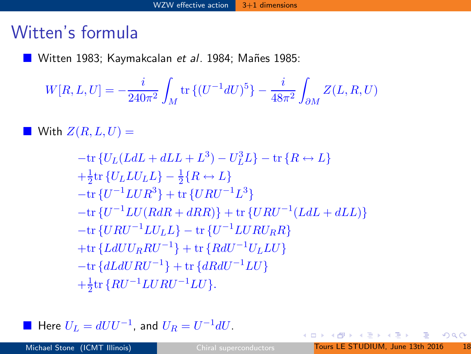### Witten's formula

■ Witten 1983; Kaymakcalan et al. 1984; Mañes 1985:

$$
W[R, L, U] = -\frac{i}{240\pi^2} \int_M \text{tr}\left\{ (U^{-1} dU)^5 \right\} - \frac{i}{48\pi^2} \int_{\partial M} Z(L, R, U)
$$

With  $Z(R,L,U)$  =

$$
-tr\{U_L(LdL + dLL + L^3) - U_L^3L\} - tr\{R \leftrightarrow L\}
$$
  
+ $\frac{1}{2}$ tr\{U\_L L U\_L L\} -  $\frac{1}{2}$ { $R \leftrightarrow L$ }  
-tr\{U^{-1}L U R^3\} + tr\{U R U^{-1} L^3\}  
-tr\{U^{-1}L U (RdR + dRR)\} + tr\{U R U^{-1} (LdL + dLL)\}  
-tr\{U R U^{-1} L U\_L L\} - tr\{U^{-1}L U R U\_R R\}  
+tr\{Ld U U\_R R U^{-1}\} + tr\{Rd U^{-1} U\_L L U\}  
-tr\{dL d U R U^{-1}\} + tr\{dR d U^{-1} L U\}  
+ $\frac{1}{2}$ tr\{R U^{-1}L U R U^{-1} L U\}.

■ Here  $U_L = dU U^{-1}$ , and  $U_R = U^{-1} dU$ .

<span id="page-37-0"></span> $2Q$ 

B

イロメ イ部メ イヨメ イヨメー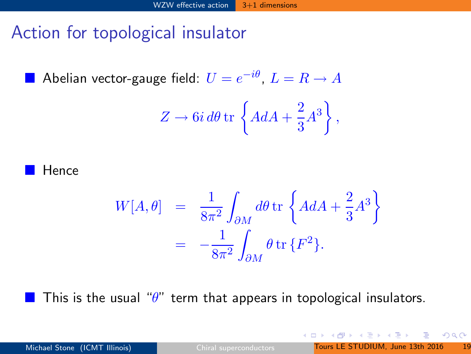## Action for topological insulator

 $\blacksquare$  Abelian vector-gauge field:  $U=e^{-i\theta},\,L=R\to A$ 

$$
Z \to 6i d\theta \,\mathrm{tr}\,\left\{ AdA + \frac{2}{3}A^3 \right\},\,
$$

Hence

$$
W[A, \theta] = \frac{1}{8\pi^2} \int_{\partial M} d\theta \,\mathrm{tr} \left\{ A dA + \frac{2}{3} A^3 \right\}
$$
  
= 
$$
-\frac{1}{8\pi^2} \int_{\partial M} \theta \,\mathrm{tr} \left\{ F^2 \right\}.
$$

This is the usual " $\theta$ " term that appears in topological insulators.

 $2990$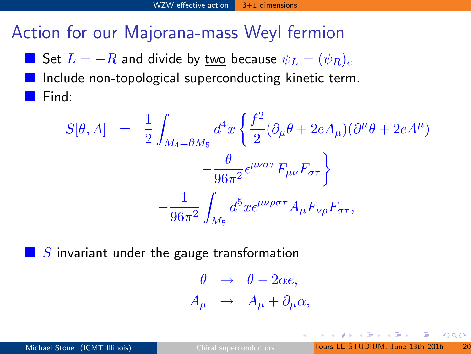#### Action for our Majorana-mass Weyl fermion

Set  $L = -R$  and divide by two because  $\psi_L = (\psi_R)_c$  Include non-topological superconducting kinetic term. Find:

$$
S[\theta, A] = \frac{1}{2} \int_{M_4 = \partial M_5} d^4 x \left\{ \frac{f^2}{2} (\partial_\mu \theta + 2eA_\mu)(\partial^\mu \theta + 2eA^\mu) - \frac{\theta}{96\pi^2} \epsilon^{\mu\nu\sigma\tau} F_{\mu\nu} F_{\sigma\tau} \right\}
$$

$$
- \frac{1}{96\pi^2} \int_{M_5} d^5 x \epsilon^{\mu\nu\rho\sigma\tau} A_\mu F_{\nu\rho} F_{\sigma\tau},
$$

 $\blacksquare$  S invariant under the gauge transformation

$$
\begin{array}{rcl}\n\theta & \rightarrow & \theta - 2\alpha e, \\
A_{\mu} & \rightarrow & A_{\mu} + \partial_{\mu}\alpha,\n\end{array}
$$

化重变 化重变性

<span id="page-39-0"></span> $QQQ$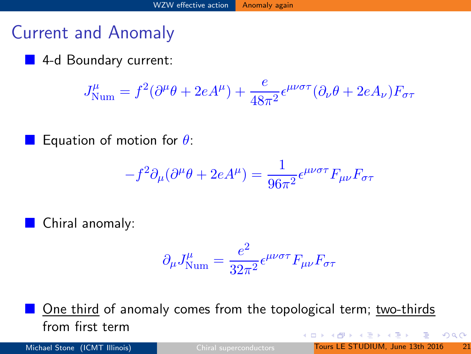### Current and Anomaly

#### 4-d Boundary current:

$$
J^{\mu}_{\text{Num}}=f^2(\partial^{\mu}\theta+2eA^{\mu})+\frac{e}{48\pi^2}\epsilon^{\mu\nu\sigma\tau}(\partial_{\nu}\theta+2eA_{\nu})F_{\sigma\tau}
$$

Equation of motion for  $\theta$ :

$$
-f^2 \partial_\mu (\partial^\mu \theta + 2eA^\mu) = \frac{1}{96\pi^2} \epsilon^{\mu\nu\sigma\tau} F_{\mu\nu} F_{\sigma\tau}
$$

**Chiral anomaly:** 

<span id="page-40-0"></span>
$$
\partial_\mu J^\mu_{\rm Num} = \frac{e^2}{32\pi^2} \epsilon^{\mu\nu\sigma\tau} F_{\mu\nu} F_{\sigma\tau}
$$

 One third of anomaly comes from the topological term; two-thirds from first term 4 0 8 化重氮 化重氮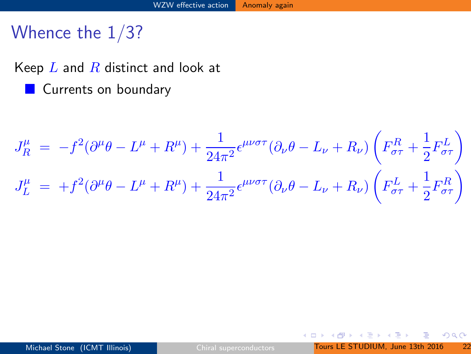## Whence the 1/3?

Keep  $L$  and  $R$  distinct and look at **Currents on boundary** 

$$
J_R^{\mu} = -f^2(\partial^{\mu}\theta - L^{\mu} + R^{\mu}) + \frac{1}{24\pi^2} \epsilon^{\mu\nu\sigma\tau} (\partial_{\nu}\theta - L_{\nu} + R_{\nu}) \left( F_{\sigma\tau}^R + \frac{1}{2} F_{\sigma\tau}^L \right)
$$
  

$$
J_L^{\mu} = +f^2(\partial^{\mu}\theta - L^{\mu} + R^{\mu}) + \frac{1}{24\pi^2} \epsilon^{\mu\nu\sigma\tau} (\partial_{\nu}\theta - L_{\nu} + R_{\nu}) \left( F_{\sigma\tau}^L + \frac{1}{2} F_{\sigma\tau}^R \right)
$$

4 日下

- ∢ r¶

<span id="page-41-0"></span> $298$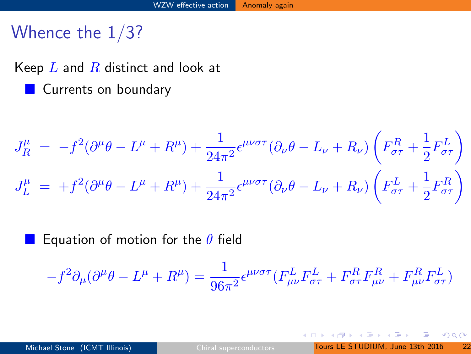## Whence the 1/3?

Keep  $L$  and  $R$  distinct and look at **Currents on boundary** 

$$
J_R^{\mu} = -f^2(\partial^{\mu}\theta - L^{\mu} + R^{\mu}) + \frac{1}{24\pi^2} \epsilon^{\mu\nu\sigma\tau} (\partial_{\nu}\theta - L_{\nu} + R_{\nu}) \left( F_{\sigma\tau}^R + \frac{1}{2} F_{\sigma\tau}^L \right)
$$
  

$$
J_L^{\mu} = +f^2(\partial^{\mu}\theta - L^{\mu} + R^{\mu}) + \frac{1}{24\pi^2} \epsilon^{\mu\nu\sigma\tau} (\partial_{\nu}\theta - L_{\nu} + R_{\nu}) \left( F_{\sigma\tau}^L + \frac{1}{2} F_{\sigma\tau}^R \right)
$$

Equation of motion for the  $\theta$  field

$$
-f^2\partial_\mu(\partial^\mu\theta - L^\mu + R^\mu) = \frac{1}{96\pi^2} \epsilon^{\mu\nu\sigma\tau} (F^L_{\mu\nu} F^L_{\sigma\tau} + F^R_{\sigma\tau} F^R_{\mu\nu} + F^R_{\mu\nu} F^L_{\sigma\tau})
$$

4 日下

 $298$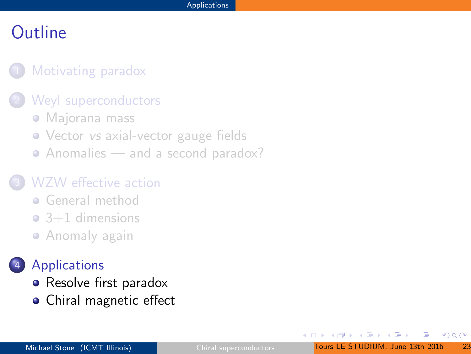#### [Motivating paradox](#page-5-0)

#### [Weyl superconductors](#page-20-0)

- [Majorana mass](#page-21-0)
- Vector vs [axial-vector gauge fields](#page-25-0)
- [Anomalies and a second paradox?](#page-27-0)

#### [WZW effective action](#page-30-0)

- **[General method](#page-32-0)**
- $\bullet$  [3+1 dimensions](#page-34-0)
- **[Anomaly again](#page-37-0)**

#### **[Applications](#page-40-0)**

- [Resolve first paradox](#page-41-0)
- [Chiral magnetic effect](#page-46-0)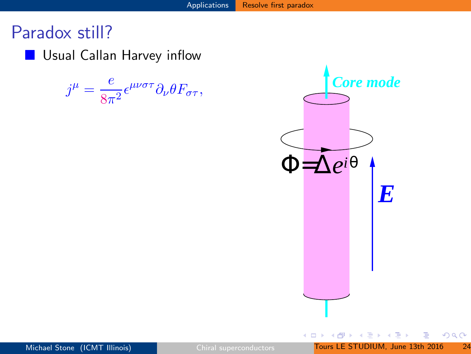**Usual Callan Harvey inflow** 

$$
j^{\mu} = \frac{e}{8\pi^2} \epsilon^{\mu\nu\sigma\tau} \partial_{\nu} \theta F_{\sigma\tau},
$$



 $299$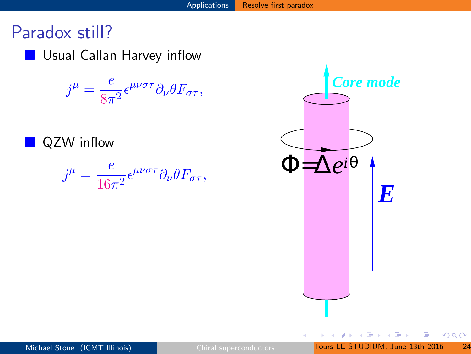**Usual Callan Harvey inflow** 

 $j^{\mu} = \frac{e}{\infty}$  $\frac{\epsilon}{8\pi^2} \epsilon^{\mu\nu\sigma\tau} \partial_{\nu} \theta F_{\sigma\tau},$ 

QZW inflow

 $j^{\mu} = \frac{e}{16}$  $\frac{\epsilon}{16\pi^2} \epsilon^{\mu\nu\sigma\tau} \partial_{\nu} \theta F_{\sigma\tau},$ 

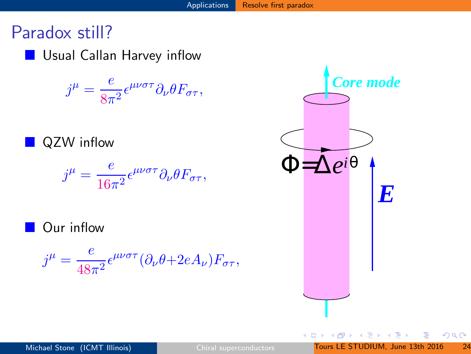**Usual Callan Harvey inflow** 

 $j^{\mu} = \frac{e}{\infty}$  $\frac{\epsilon}{8\pi^2} \epsilon^{\mu\nu\sigma\tau} \partial_{\nu} \theta F_{\sigma\tau},$ 

**QZW** inflow

$$
j^{\mu} = \frac{e}{16\pi^2} \epsilon^{\mu\nu\sigma\tau} \partial_{\nu} \theta F_{\sigma\tau},
$$

Our inflow

$$
j^{\mu} = \frac{e}{48\pi^2} \epsilon^{\mu\nu\sigma\tau} (\partial_{\nu}\theta + 2eA_{\nu}) F_{\sigma\tau},
$$

<span id="page-46-0"></span>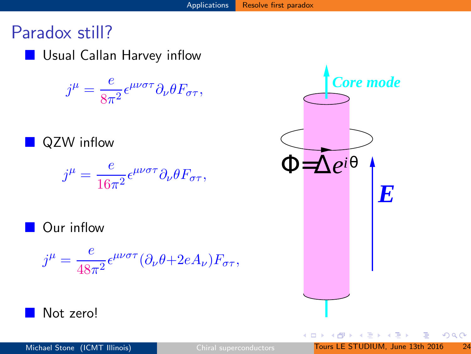**Usual Callan Harvey inflow** 

 $j^{\mu} = \frac{e}{\infty}$  $\frac{\epsilon}{8\pi^2} \epsilon^{\mu\nu\sigma\tau} \partial_{\nu} \theta F_{\sigma\tau},$ 

**QZW** inflow

$$
j^{\mu} = \frac{e}{16\pi^2} \epsilon^{\mu\nu\sigma\tau} \partial_{\nu} \theta F_{\sigma\tau},
$$

**Our inflow** 

$$
j^{\mu} = \frac{e}{48\pi^2} \epsilon^{\mu\nu\sigma\tau} (\partial_{\nu}\theta + 2eA_{\nu}) F_{\sigma\tau},
$$

Not zero!

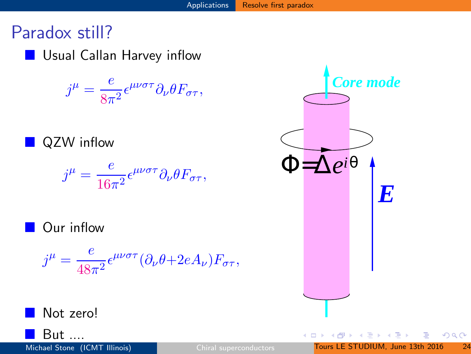**Usual Callan Harvey inflow** 

 $j^{\mu} = \frac{e}{\infty}$  $\frac{\epsilon}{8\pi^2} \epsilon^{\mu\nu\sigma\tau} \partial_{\nu} \theta F_{\sigma\tau},$ 

**QZW** inflow

$$
j^{\mu} = \frac{e}{16\pi^2} \epsilon^{\mu\nu\sigma\tau} \partial_{\nu} \theta F_{\sigma\tau},
$$

Our inflow

$$
j^{\mu} = \frac{e}{48\pi^2} \epsilon^{\mu\nu\sigma\tau} (\partial_{\nu}\theta + 2eA_{\nu}) F_{\sigma\tau},
$$



Not zero!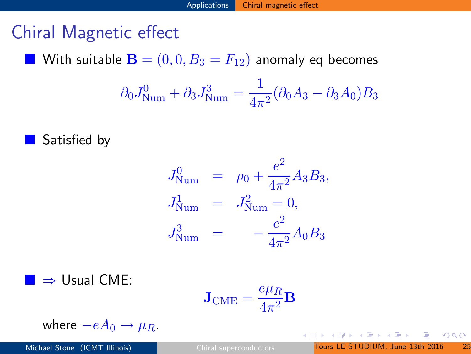# Chiral Magnetic effect

With suitable  $\mathbf{B} = (0,0,B_3 = F_{12})$  anomaly eq becomes

$$
\partial_0 J_{\text{Num}}^0 + \partial_3 J_{\text{Num}}^3 = \frac{1}{4\pi^2} (\partial_0 A_3 - \partial_3 A_0) B_3
$$

Satisfied by

$$
J_{\text{Num}}^0 = \rho_0 + \frac{e^2}{4\pi^2} A_3 B_3,
$$
  
\n
$$
J_{\text{Num}}^1 = J_{\text{Num}}^2 = 0,
$$
  
\n
$$
J_{\text{Num}}^3 = -\frac{e^2}{4\pi^2} A_0 B_3
$$

 $\blacksquare \Rightarrow$  Usual CME:

$$
\mathbf{J}_\mathrm{CME} = \frac{e\mu_R}{4\pi^2} \mathbf{B}
$$

where  $-eA_0 \rightarrow \mu_B$ .

<span id="page-49-0"></span> $298$ 

イロメ イ部メ イ君メ イ君メー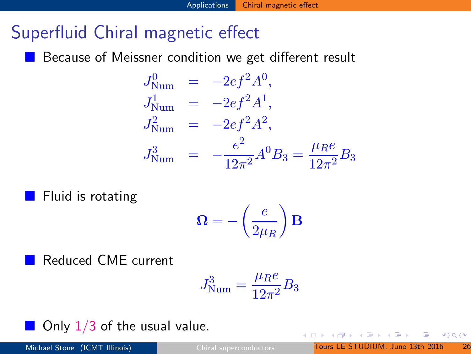# Superfluid Chiral magnetic effect

Because of Meissner condition we get different result

$$
J_{\text{Num}}^0 = -2ef^2 A^0,
$$
  
\n
$$
J_{\text{Num}}^1 = -2ef^2 A^1,
$$
  
\n
$$
J_{\text{Num}}^2 = -2ef^2 A^2,
$$
  
\n
$$
J_{\text{Num}}^3 = -\frac{e^2}{12\pi^2} A^0 B_3 = \frac{\mu_R e}{12\pi^2} B_3
$$

Fluid is rotating

$$
\mathbf{\Omega} = -\left(\frac{e}{2\mu_R}\right)\mathbf{B}
$$

Reduced CME current

$$
J_{\text{Num}}^3 = \frac{\mu_R e}{12\pi^2} B_3
$$

Only  $1/3$  of the usual value.

 $QQQ$ 

**← ロ ▶ → イ 冊**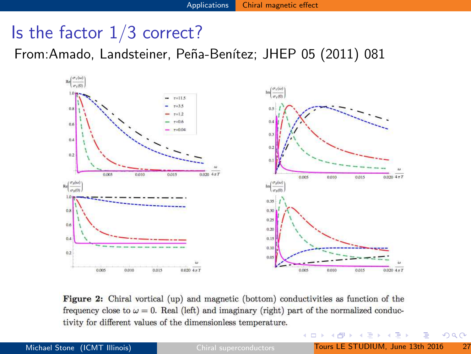## Is the factor  $1/3$  correct?

From:Amado, Landsteiner, Peña-Benítez; JHEP 05 (2011) 081



Figure 2: Chiral vortical (up) and magnetic (bottom) conductivities as function of the frequency close to  $\omega = 0$ . Real (left) and imaginary (right) part of the normalized conductivity for different values of the dimensionless temperature.

 $\rightarrow$   $\equiv$   $\rightarrow$ 

4 日下